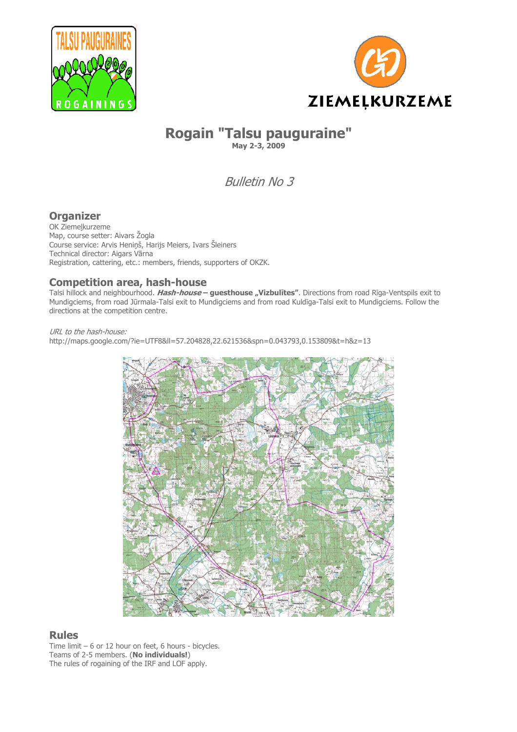



# **Rogain "Talsu pauguraine" May 2-3, 2009**

Bulletin No 3

# **Organizer**

OK Ziemeļkurzeme Map, course setter: Aivars Žogla Course service: Arvis Heniņš, Harijs Meiers, Ivars Šleiners Technical director: Aigars Vārna Registration, cattering, etc.: members, friends, supporters of OKZK.

# **Competition area, hash-house**

Talsi hillock and neighbourhood. **Hash-house – guesthouse "Vizbulītes"**. Directions from road Rīga-Ventspils exit to Mundigciems, from road Jūrmala-Talsi exit to Mundigciems and from road Kuldīga-Talsi exit to Mundigciems. Follow the directions at the competition centre.

URL to the hash-house: http://maps.google.com/?ie=UTF8&ll=57.204828,22.621536&spn=0.043793,0.153809&t=h&z=13



# **Rules**

Time limit – 6 or 12 hour on feet, 6 hours - bicycles. Teams of 2-5 members. (**No individuals!**) The rules of rogaining of the IRF and LOF apply.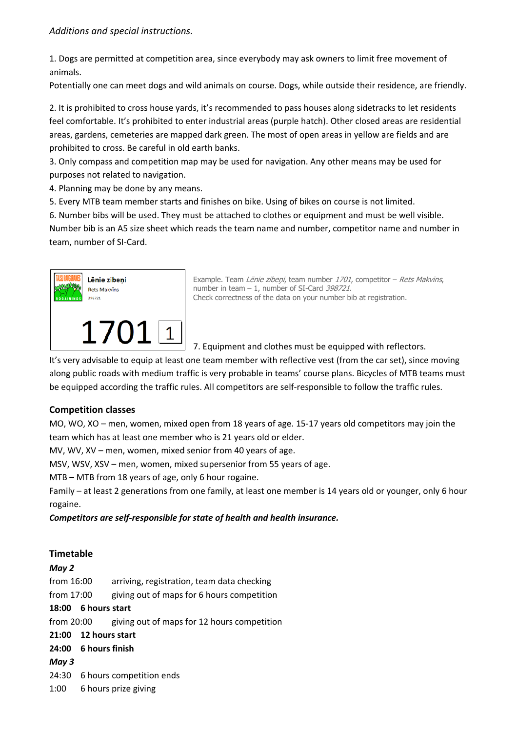1. Dogs are permitted at competition area, since everybody may ask owners to limit free movement of animals.

Potentially one can meet dogs and wild animals on course. Dogs, while outside their residence, are friendly.

2. It is prohibited to cross house yards, it's recommended to pass houses along sidetracks to let residents feel comfortable. It's prohibited to enter industrial areas (purple hatch). Other closed areas are residential areas, gardens, cemeteries are mapped dark green. The most of open areas in yellow are fields and are prohibited to cross. Be careful in old earth banks.

3. Only compass and competition map may be used for navigation. Any other means may be used for purposes not related to navigation.

4. Planning may be done by any means.

5. Every MTB team member starts and finishes on bike. Using of bikes on course is not limited.

6. Number bibs will be used. They must be attached to clothes or equipment and must be well visible. Number bib is an A5 size sheet which reads the team name and number, competitor name and number in team, number of SI-Card.



Example. Team Lēnie zibeņi, team number 1701, competitor - Rets Makvīns, number in team – 1, number of SI-Card 398721. Check correctness of the data on your number bib at registration.

7. Equipment and clothes must be equipped with reflectors.

It's very advisable to equip at least one team member with reflective vest (from the car set), since moving along public roads with medium traffic is very probable in teams' course plans. Bicycles of MTB teams must be equipped according the traffic rules. All competitors are self-responsible to follow the traffic rules.

## **Competition classes**

MO, WO, XO – men, women, mixed open from 18 years of age. 15-17 years old competitors may join the team which has at least one member who is 21 years old or elder.

MV, WV, XV – men, women, mixed senior from 40 years of age.

MSV, WSV, XSV – men, women, mixed supersenior from 55 years of age.

MTB – MTB from 18 years of age, only 6 hour rogaine.

Family – at least 2 generations from one family, at least one member is 14 years old or younger, only 6 hour rogaine.

*Competitors are self-responsible for state of health and health insurance.* 

## **Timetable**

# *May 2*  from 16:00 arriving, registration, team data checking from 17:00 giving out of maps for 6 hours competition **18:00 6 hours start**  from 20:00 giving out of maps for 12 hours competition **21:00 12 hours start 24:00 6 hours finish**  *May 3*  24:30 6 hours competition ends 1:00 6 hours prize giving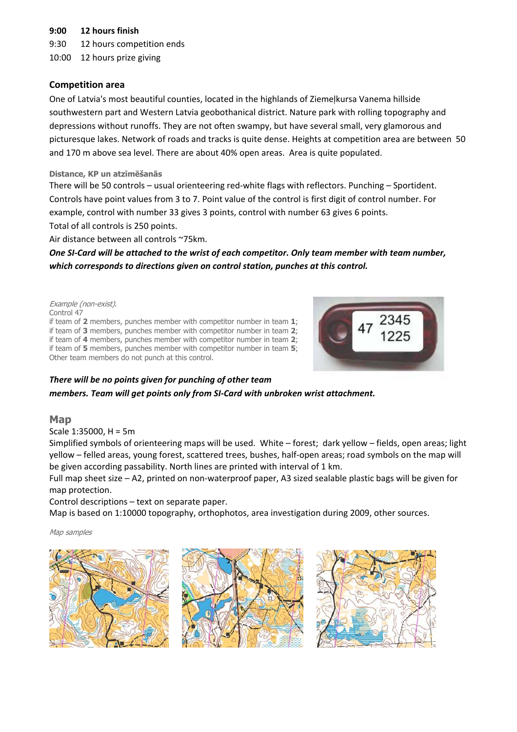### **9:00 12 hours finish**

9:30 12 hours competition ends

10:00 12 hours prize giving

### **Competition area**

One of Latvia's most beautiful counties, located in the highlands of Ziemeļkursa Vanema hillside southwestern part and Western Latvia geobothanical district. Nature park with rolling topography and depressions without runoffs. They are not often swampy, but have several small, very glamorous and picturesque lakes. Network of roads and tracks is quite dense. Heights at competition area are between 50 and 170 m above sea level. There are about 40% open areas. Area is quite populated.

#### **Distance, KP un atzīmēšanās**

There will be 50 controls – usual orienteering red-white flags with reflectors. Punching – Sportident. Controls have point values from 3 to 7. Point value of the control is first digit of control number. For example, control with number 33 gives 3 points, control with number 63 gives 6 points. Total of all controls is 250 points.

Air distance between all controls ~75km.

*One SI-Card will be attached to the wrist of each competitor. Only team member with team number, which corresponds to directions given on control station, punches at this control.* 

#### Example (non-exist). Control 47 if team of **2** members, punches member with competitor number in team **1**; if team of **3** members, punches member with competitor number in team **2**; if team of **4** members, punches member with competitor number in team **2**; if team of **5** members, punches member with competitor number in team **5**; Other team members do not punch at this control.



### *There will be no points given for punching of other team members. Team will get points only from SI-Card with unbroken wrist attachment.*

### **Map**

Scale 1:35000, H = 5m

Simplified symbols of orienteering maps will be used. White – forest; dark yellow – fields, open areas; light yellow – felled areas, young forest, scattered trees, bushes, half-open areas; road symbols on the map will be given according passability. North lines are printed with interval of 1 km.

Full map sheet size – A2, printed on non-waterproof paper, A3 sized sealable plastic bags will be given for map protection.

Control descriptions – text on separate paper.

Map is based on 1:10000 topography, orthophotos, area investigation during 2009, other sources.

Map samples





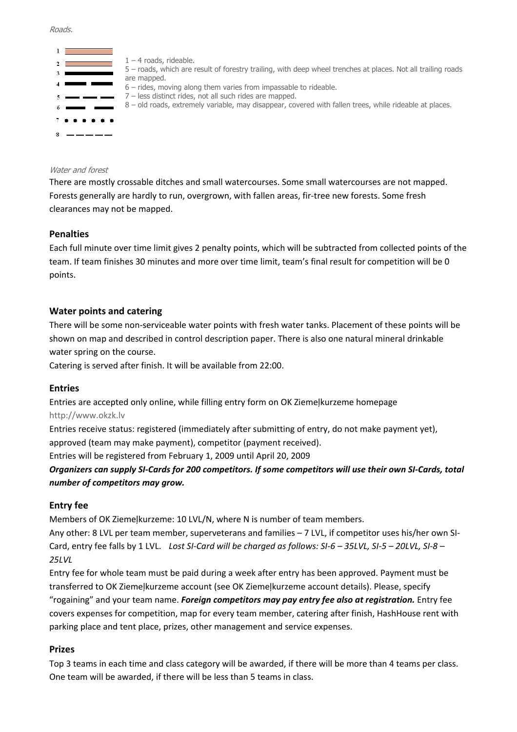#### Roads.



#### Water and forest

There are mostly crossable ditches and small watercourses. Some small watercourses are not mapped. Forests generally are hardly to run, overgrown, with fallen areas, fir-tree new forests. Some fresh clearances may not be mapped.

#### **Penalties**

Each full minute over time limit gives 2 penalty points, which will be subtracted from collected points of the team. If team finishes 30 minutes and more over time limit, team's final result for competition will be 0 points.

#### **Water points and catering**

There will be some non-serviceable water points with fresh water tanks. Placement of these points will be shown on map and described in control description paper. There is also one natural mineral drinkable water spring on the course.

Catering is served after finish. It will be available from 22:00.

#### **Entries**

Entries are accepted only online, while filling entry form on OK Ziemeļkurzeme homepage http://www.okzk.lv

Entries receive status: registered (immediately after submitting of entry, do not make payment yet), approved (team may make payment), competitor (payment received).

Entries will be registered from February 1, 2009 until April 20, 2009

*Organizers can supply SI-Cards for 200 competitors. If some competitors will use their own SI-Cards, total number of competitors may grow.* 

### **Entry fee**

Members of OK Ziemeļkurzeme: 10 LVL/N, where N is number of team members.

Any other: 8 LVL per team member, superveterans and families – 7 LVL, if competitor uses his/her own SI-Card, entry fee falls by 1 LVL. Lost SI-Card will be charged as follows: SI-6 – 35LVL, SI-5 – 20LVL, SI-8 – *25LVL*

Entry fee for whole team must be paid during a week after entry has been approved. Payment must be transferred to OK Ziemeļkurzeme account (see OK Ziemeļkurzeme account details). Please, specify

"rogaining" and your team name. *Foreign competitors may pay entry fee also at registration.* Entry fee covers expenses for competition, map for every team member, catering after finish, HashHouse rent with parking place and tent place, prizes, other management and service expenses.

### **Prizes**

Top 3 teams in each time and class category will be awarded, if there will be more than 4 teams per class. One team will be awarded, if there will be less than 5 teams in class.